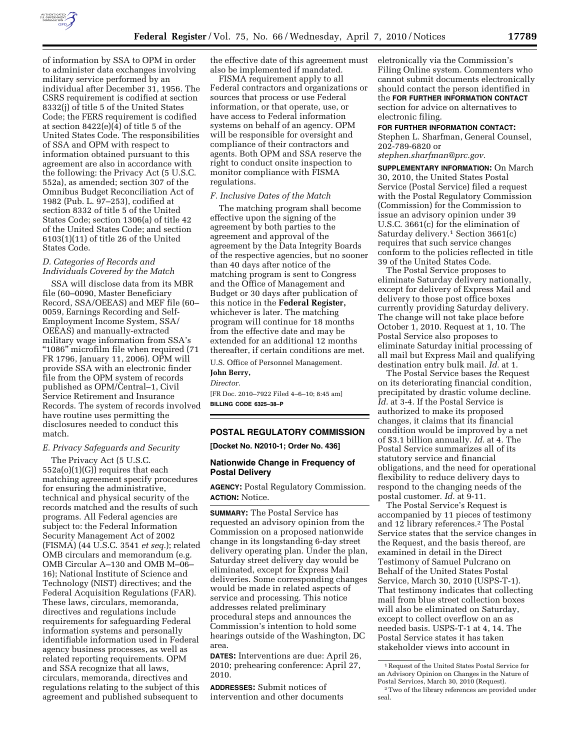

of information by SSA to OPM in order to administer data exchanges involving military service performed by an individual after December 31, 1956. The CSRS requirement is codified at section 8332(j) of title 5 of the United States Code; the FERS requirement is codified at section 8422(e)(4) of title 5 of the United States Code. The responsibilities of SSA and OPM with respect to information obtained pursuant to this agreement are also in accordance with the following: the Privacy Act (5 U.S.C. 552a), as amended; section 307 of the Omnibus Budget Reconciliation Act of 1982 (Pub. L. 97–253), codified at section 8332 of title 5 of the United States Code; section 1306(a) of title 42 of the United States Code; and section 6103(1)(11) of title 26 of the United States Code.

## *D. Categories of Records and Individuals Covered by the Match*

SSA will disclose data from its MBR file (60–0090, Master Beneficiary Record, SSA/OEEAS) and MEF file (60– 0059, Earnings Recording and Self-Employment Income System, SSA/ OEEAS) and manually-extracted military wage information from SSA's ''1086'' microfilm file when required (71 FR 1796, January 11, 2006). OPM will provide SSA with an electronic finder file from the OPM system of records published as OPM/Central–1, Civil Service Retirement and Insurance Records. The system of records involved have routine uses permitting the disclosures needed to conduct this match.

#### *E. Privacy Safeguards and Security*

The Privacy Act (5 U.S.C. 552a(o)(1)(G)) requires that each matching agreement specify procedures for ensuring the administrative, technical and physical security of the records matched and the results of such programs. All Federal agencies are subject to: the Federal Information Security Management Act of 2002 (FISMA) (44 U.S.C. 3541 *et seq.*); related OMB circulars and memorandum (e.g. OMB Circular A–130 and OMB M–06– 16); National Institute of Science and Technology (NIST) directives; and the Federal Acquisition Regulations (FAR). These laws, circulars, memoranda, directives and regulations include requirements for safeguarding Federal information systems and personally identifiable information used in Federal agency business processes, as well as related reporting requirements. OPM and SSA recognize that all laws, circulars, memoranda, directives and regulations relating to the subject of this agreement and published subsequent to

the effective date of this agreement must also be implemented if mandated.

FISMA requirement apply to all Federal contractors and organizations or sources that process or use Federal information, or that operate, use, or have access to Federal information systems on behalf of an agency. OPM will be responsible for oversight and compliance of their contractors and agents. Both OPM and SSA reserve the right to conduct onsite inspection to monitor compliance with FISMA regulations.

# *F. Inclusive Dates of the Match*

The matching program shall become effective upon the signing of the agreement by both parties to the agreement and approval of the agreement by the Data Integrity Boards of the respective agencies, but no sooner than 40 days after notice of the matching program is sent to Congress and the Office of Management and Budget or 30 days after publication of this notice in the **Federal Register,**  whichever is later. The matching program will continue for 18 months from the effective date and may be extended for an additional 12 months thereafter, if certain conditions are met.

U.S. Office of Personnel Management.

**John Berry,** 

*Director.* 

[FR Doc. 2010–7922 Filed 4–6–10; 8:45 am] **BILLING CODE 6325–38–P** 

# **POSTAL REGULATORY COMMISSION**

**[Docket No. N2010-1; Order No. 436]** 

# **Nationwide Change in Frequency of Postal Delivery**

**AGENCY:** Postal Regulatory Commission. **ACTION:** Notice.

**SUMMARY:** The Postal Service has requested an advisory opinion from the Commission on a proposed nationwide change in its longstanding 6-day street delivery operating plan. Under the plan, Saturday street delivery day would be eliminated, except for Express Mail deliveries. Some corresponding changes would be made in related aspects of service and processing. This notice addresses related preliminary procedural steps and announces the Commission's intention to hold some hearings outside of the Washington, DC area.

**DATES:** Interventions are due: April 26, 2010; prehearing conference: April 27, 2010.

**ADDRESSES:** Submit notices of intervention and other documents eletronically via the Commission's Filing Online system. Commenters who cannot submit documents electronically should contact the person identified in the **FOR FURTHER INFORMATION CONTACT** section for advice on alternatives to electronic filing.

#### **FOR FURTHER INFORMATION CONTACT:**

Stephen L. Sharfman, General Counsel, 202-789-6820 or

*stephen.sharfman@prc.gov.* 

**SUPPLEMENTARY INFORMATION:** On March 30, 2010, the United States Postal Service (Postal Service) filed a request with the Postal Regulatory Commission (Commission) for the Commission to issue an advisory opinion under 39 U.S.C. 3661(c) for the elimination of Saturday delivery.1 Section 3661(c) requires that such service changes conform to the policies reflected in title 39 of the United States Code.

The Postal Service proposes to eliminate Saturday delivery nationally, except for delivery of Express Mail and delivery to those post office boxes currently providing Saturday delivery. The change will not take place before October 1, 2010. Request at 1, 10. The Postal Service also proposes to eliminate Saturday initial processing of all mail but Express Mail and qualifying destination entry bulk mail. *Id.* at 1.

The Postal Service bases the Request on its deteriorating financial condition, precipitated by drastic volume decline. *Id.* at 3-4. If the Postal Service is authorized to make its proposed changes, it claims that its financial condition would be improved by a net of \$3.1 billion annually. *Id.* at 4. The Postal Service summarizes all of its statutory service and financial obligations, and the need for operational flexibility to reduce delivery days to respond to the changing needs of the postal customer. *Id.* at 9-11.

The Postal Service's Request is accompanied by 11 pieces of testimony and 12 library references.2 The Postal Service states that the service changes in the Request, and the basis thereof, are examined in detail in the Direct Testimony of Samuel Pulcrano on Behalf of the United States Postal Service, March 30, 2010 (USPS-T-1). That testimony indicates that collecting mail from blue street collection boxes will also be eliminated on Saturday, except to collect overflow on an as needed basis. USPS-T-1 at 4, 14. The Postal Service states it has taken stakeholder views into account in

<sup>1</sup>Request of the United States Postal Service for an Advisory Opinion on Changes in the Nature of Postal Services, March 30, 2010 (Request). 2Two of the library references are provided under seal.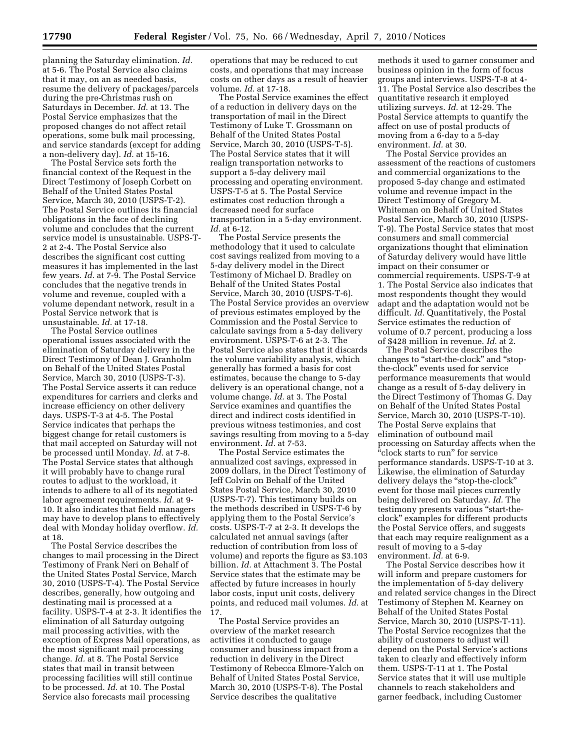planning the Saturday elimination. *Id.*  at 5-6. The Postal Service also claims that it may, on an as needed basis, resume the delivery of packages/parcels during the pre-Christmas rush on Saturdays in December. *Id.* at 13. The Postal Service emphasizes that the proposed changes do not affect retail operations, some bulk mail processing, and service standards (except for adding a non-delivery day). *Id.* at 15-16.

The Postal Service sets forth the financial context of the Request in the Direct Testimony of Joseph Corbett on Behalf of the United States Postal Service, March 30, 2010 (USPS-T-2). The Postal Service outlines its financial obligations in the face of declining volume and concludes that the current service model is unsustainable. USPS-T-2 at 2-4. The Postal Service also describes the significant cost cutting measures it has implemented in the last few years. *Id.* at 7-9. The Postal Service concludes that the negative trends in volume and revenue, coupled with a volume dependant network, result in a Postal Service network that is unsustainable. *Id.* at 17-18.

The Postal Service outlines operational issues associated with the elimination of Saturday delivery in the Direct Testimony of Dean J. Granholm on Behalf of the United States Postal Service, March 30, 2010 (USPS-T-3). The Postal Service asserts it can reduce expenditures for carriers and clerks and increase efficiency on other delivery days. USPS-T-3 at 4-5. The Postal Service indicates that perhaps the biggest change for retail customers is that mail accepted on Saturday will not be processed until Monday. *Id.* at 7-8. The Postal Service states that although it will probably have to change rural routes to adjust to the workload, it intends to adhere to all of its negotiated labor agreement requirements. *Id.* at 9- 10. It also indicates that field managers may have to develop plans to effectively deal with Monday holiday overflow. *Id.*  at 18.

The Postal Service describes the changes to mail processing in the Direct Testimony of Frank Neri on Behalf of the United States Postal Service, March 30, 2010 (USPS-T-4). The Postal Service describes, generally, how outgoing and destinating mail is processed at a facility. USPS-T-4 at 2-3. It identifies the elimination of all Saturday outgoing mail processing activities, with the exception of Express Mail operations, as the most significant mail processing change. *Id.* at 8. The Postal Service states that mail in transit between processing facilities will still continue to be processed. *Id.* at 10. The Postal Service also forecasts mail processing

operations that may be reduced to cut costs, and operations that may increase costs on other days as a result of heavier volume. *Id.* at 17-18.

The Postal Service examines the effect of a reduction in delivery days on the transportation of mail in the Direct Testimony of Luke T. Grossmann on Behalf of the United States Postal Service, March 30, 2010 (USPS-T-5). The Postal Service states that it will realign transportation networks to support a 5-day delivery mail processing and operating environment. USPS-T-5 at 5. The Postal Service estimates cost reduction through a decreased need for surface transportation in a 5-day environment. *Id.* at 6-12.

The Postal Service presents the methodology that it used to calculate cost savings realized from moving to a 5-day delivery model in the Direct Testimony of Michael D. Bradley on Behalf of the United States Postal Service, March 30, 2010 (USPS-T-6). The Postal Service provides an overview of previous estimates employed by the Commission and the Postal Service to calculate savings from a 5-day delivery environment. USPS-T-6 at 2-3. The Postal Service also states that it discards the volume variability analysis, which generally has formed a basis for cost estimates, because the change to 5-day delivery is an operational change, not a volume change. *Id.* at 3. The Postal Service examines and quantifies the direct and indirect costs identified in previous witness testimonies, and cost savings resulting from moving to a 5-day environment. *Id.* at 7-53.

The Postal Service estimates the annualized cost savings, expressed in 2009 dollars, in the Direct Testimony of Jeff Colvin on Behalf of the United States Postal Service, March 30, 2010 (USPS-T-7). This testimony builds on the methods described in USPS-T-6 by applying them to the Postal Service's costs. USPS-T-7 at 2-3. It develops the calculated net annual savings (after reduction of contribution from loss of volume) and reports the figure as \$3.103 billion. *Id.* at Attachment 3. The Postal Service states that the estimate may be affected by future increases in hourly labor costs, input unit costs, delivery points, and reduced mail volumes. *Id.* at 17.

The Postal Service provides an overview of the market research activities it conducted to gauge consumer and business impact from a reduction in delivery in the Direct Testimony of Rebecca Elmore-Yalch on Behalf of United States Postal Service, March 30, 2010 (USPS-T-8). The Postal Service describes the qualitative

methods it used to garner consumer and business opinion in the form of focus groups and interviews. USPS-T-8 at 4- 11. The Postal Service also describes the quantitative research it employed utilizing surveys. *Id.* at 12-29. The Postal Service attempts to quantify the affect on use of postal products of moving from a 6-day to a 5-day environment. *Id.* at 30.

The Postal Service provides an assessment of the reactions of customers and commercial organizations to the proposed 5-day change and estimated volume and revenue impact in the Direct Testimony of Gregory M. Whiteman on Behalf of United States Postal Service, March 30, 2010 (USPS-T-9). The Postal Service states that most consumers and small commercial organizations thought that elimination of Saturday delivery would have little impact on their consumer or commercial requirements. USPS-T-9 at 1. The Postal Service also indicates that most respondents thought they would adapt and the adaptation would not be difficult. *Id.* Quantitatively, the Postal Service estimates the reduction of volume of 0.7 percent, producing a loss of \$428 million in revenue. *Id.* at 2.

The Postal Service describes the changes to "start-the-clock" and "stopthe-clock'' events used for service performance measurements that would change as a result of 5-day delivery in the Direct Testimony of Thomas G. Day on Behalf of the United States Postal Service, March 30, 2010 (USPS-T-10). The Postal Serve explains that elimination of outbound mail processing on Saturday affects when the ''clock starts to run'' for service performance standards. USPS-T-10 at 3. Likewise, the elimination of Saturday delivery delays the "stop-the-clock" event for those mail pieces currently being delivered on Saturday. *Id.* The testimony presents various ''start-theclock'' examples for different products the Postal Service offers, and suggests that each may require realignment as a result of moving to a 5-day environment. *Id.* at 6-9.

The Postal Service describes how it will inform and prepare customers for the implementation of 5-day delivery and related service changes in the Direct Testimony of Stephen M. Kearney on Behalf of the United States Postal Service, March 30, 2010 (USPS-T-11). The Postal Service recognizes that the ability of customers to adjust will depend on the Postal Service's actions taken to clearly and effectively inform them. USPS-T-11 at 1. The Postal Service states that it will use multiple channels to reach stakeholders and garner feedback, including Customer